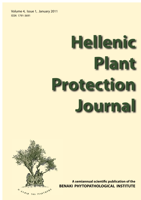Volume 4, Issue 1, January 2011 ISSN 1791-3691

# **Hellenic Plant Protection Journal**



**A semiannual scientific publication of the BENAKI PHYTOPATHOLOGICAL INSTITUTE BE**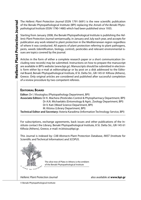The Hellenic Plant Protection Journal (ISSN 1791-3691) is the new scientific publication of the Benaki Phytopathological Institute (BPI) replacing the Annals of the Benaki Phytopathological Institute (ISSN 1790-1480) which had been published since 1935.

Starting from January 2008, the Benaki Phytopathological Institute is publishing the Hellenic Plant Protection Journal semiannually, in January and July each year, and accepts for publication any work related to plant protection in the Mediterranean region regardless of where it was conducted. All aspects of plant protection referring to plant pathogens, pests, weeds (identification, biology, control), pesticides and relevant environmental issues are topics covered by the journal.

Articles in the form of either a complete research paper or a short communication (including new records) may be submitted. Instructions on how to prepare the manuscript are available in BPI's website (www.bpi.gr). Manuscripts should be submitted in electronic form either by e-mail at editors@bpi.gr or by post on a disk addressed to the Editorial Board, Benaki Phytopathological Institute, 8 St. Delta Str., GR-145 61 Kifissia (Athens), Greece. Only original articles are considered and published after successful completion of a review procedure by two competent referees.

# **EDITORIAL BOARD**

**Editor:** Dr I. Vloutoglou (Phytopathology Department, BPI)

**Associate Editors:** Dr K. Machera (Pesticides Control & Phytopharmacy Department, BPI) Dr A.N. Michaelakis (Entomology & Agric. Zoology Department, BPI) Dr V. Kati (Weed Science Department, BPI)

M. Kitsiou (Library Department, BPI)

**Technical Editor and Secretary:** Asteria Karadima (Information Technology Service, BPI)

For subscriptions, exchange agreements, back issues and other publications of the Institute contact the Library, Benaki Phytopathological Institute, 8 St. Delta Str., GR-145 61 Kifissia (Athens), Greece, e-mail: m.kitsiou@bpi.gr.

This Journal is indexed by: CAB Abstracts-Plant Protection Database, INIST (Institute for Scientific and Technical Information) and SCOPUS.



The olive tree of Plato in Athens is the emblem of the Benaki Phytopathological Institute

Hellenic Plant Protection Journal also available at **www.bpi.gr**

© Benaki Phytopathological Institute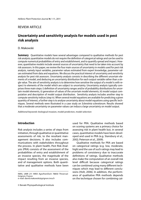# REVIEW ARTICLE

# **Uncertainty and sensitivity analysis for models used in pest risk analysis**

#### D. Makowski

**Summary** Quantitative models have several advantages compared to qualitative methods for pest risk analysis; quantitative models do not require the definition of categorical ratings and can be used to compute numerical probabilities of entry and establishment, and to quantify spread and impact. However, quantitative models include several sources of uncertainty that need to be taken into account by risk assessors. In this paper, we review the four main sources of uncertainty in models used for pest risk analysis, namely input variables, parameter values estimated from expert knowledge, parameter values estimated from data and equations. We discuss the practical interest of uncertainty and sensitivity analysis for pest risk assessors. Uncertainty analysis consists in describing the different uncertain elements of a model, and deducing an uncertainty distribution for each output variable rather than a single value. The aim of sensitivity analysis is to determine how sensitive the output of a model is with respect to elements of the model which are subject to uncertainty. Uncertainty analysis typically comprises three main steps: i) definition of uncertainty ranges and/or of probability distributions for uncertain model elements, ii) generation of values of the uncertain model elements, iii) model output computation and description of model output distribution. Sensitivity analysis includes another step to compute sensitivity indices (step iv). When several model equations are available for predicting a given quantity of interest, a further step is to analyse uncertainty about model equations using specific techniques. Several methods were illustrated in a case study on Sclerotinia sclerotiorum. Results showed that a moderate uncertainty on parameter values can induce a large uncertainty on model output.

Additional keywords: biological invasion, model prediction, model selection

# **Introduction**

Risk analysis includes a series of steps from initiation, through qualitative or quantitative assessments of risk, to the resultant management decisions. It also includes communications with stakeholders throughout the process. In plant health, Pest Risk Analysis (PRA) consists of the assessment of the probabilities of entry and establishment of an invasive species, the magnitude of the impact resulting from an invasive species, and of management options. Both quantitative and qualitative methods have been

INRA, UMR 211 INRA AgroParisTech 78850 Thiverval-Grignon, France e-mail: david.makowski@grignon.inra.fr

used for PRA. Qualitative methods based on scoring systems are a primary choice for assessing risk in plant health but, in several cases, quantitative models have been developed and used in PRA (e.g. Stansbury et al., 2002; Peterson et al., 2009).

Qualitative methods for PRA are based on categorical ratings (e.g. low, moderate, high) and the use of such ratings may lead to problems of consistency due to inaccurate definitions of ratings. Qualitative methods also make the computation of an overall risk level difficult because categorical ratings can be combined using many different techniques which may lead to different conclusions (Holt, 2006). In addition, the performance of qualitative PRA methods depends on the technique chosen for combining cat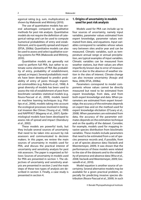egorical rating (e.g. sum, multiplication) as shown by Makowski and Mittinty (2010).

The use of quantitative models has several advantages compared to qualitative methods for pest risk analysis. Quantitative models do not require the definition of categorical ratings and can be used to compute numerical probabilities of entry and establishment, and to quantify spread and impact (EFSA, 2008a). Quantitative models can also be used to assess and select qualitative scoring systems for PRA (Makowski and Mittinty, 2010).

Quantitative models are generally not used to perform full PRA, but rather to estimate some elements of PRA like probability of entry, probability of establishment, spread, or impact. Several probabilistic models have been developed to predict probability of entry of pests through imported commodities (e.g. Roberts et al., 1998). A great diversity of models has been used to assess the risk of establishment of pest from bioclimatic variables: statistical models (e.g. Roura-Pascual et al., 2009), models based on machine learning techniques (e.g. Phillips et al., 2006), models taking into account the ecological processes involved in biological invasion like Climex (Young et al., 1999) and NAPPFAST (Magarey et al., 2007). Epidemiological models have been developed to assess risk of spread and impact (Stansbury et al., 2002).

These models are powerful tools, but they include several sources of uncertainty that need to be taken into account by risk assessors and communicated to decision makers. In this paper, we review the main sources of uncertainty in models used for PRA, and discuss the practical interest of uncertainty and sensitivity analysis for pest risk assessors. The paper is organized as follows: Sources of uncertainty in models used for PRA are presented in section 1. The objectives of uncertainty and sensitivity analysis are presented in section 2 and the main steps of these two types of analysis are described in section 3. Finally, a case study is presented in section 4.

## **1. Origins of uncertainty in models used for pest risk analysis**

Models used for PRA can include up to four sources of uncertainty, namely input variables, parameter values estimated from expert knowledge, parameter values estimated from data, and equations. Input variables correspond to variables whose values vary between sites and/or year and can be measured. Climatic variables, such as temperature annual range or annual precipitation, are typical examples of input variables. Climatic variables can be measured from weather stations, but their values are often imperfectly known due to error of measurement or due to the absence of weather station in the sites of interest. Climate change can also increase uncertainty (Araujo and New, 2006; EFSA, 2008a).

Parameters correspond to model components whose values cannot be directly measured but need to be estimated from expert knowledge, from data, and from both expert knowledge and data. When parameters are estimated from expert knowledge, the accuracy of the estimates depends on expert bias and on the method used for expert knowledge elicitation (O'Leary et al., 2008). When parameters are estimated from data, the accuracy of the parameter estimates depends on the estimation technique and on the quality of the dataset. Consider, for example, models used for mapping invasive species distribution from bioclimatic variables. These models include parameters that need to be estimated from a set of species presence records and, if possible, from a set of species absence data (Vaclavik and Meentemeyer, 2009). It was shown that the performances of these models were related to the size of the datasets and to the reliability of presence and absence data (Wisz et al., 2008; Vaclavik and Meentemeyer, 2009; Giovanelli et al., 2010).

Model equation is another source of uncertainty. Several alternative models may be available for a given practical problem, especially for predicting invasive species distribution (Roura-Pascual et al., 2009). In such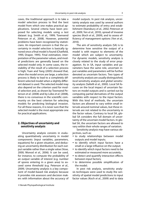cases, the traditional approach is to take a model selection process to find the best model from which one makes practical applications. Several criteria have been proposed for selecting models using a test dataset (e.g. Smith et al., 1999; Townsend Peterson et al., 2008). However, potential problems have been recognized by statisticians. An important concern is that the uncertainty in model selection is basically ignored once a final model is found (Chatfield, 1995; Draper, 1995). Final estimation, interpretation of the parameter values, and model predictions are generally based on the selected model only. In some cases, the instability of the result of a selection process is high; Yuan and Yang (2005) showed that, when the model errors are large, a selection process is likely to lead to a completely different selected model when a slightly different dataset is used. The selected model may also depend on the criterion used for model selection and, as shown by Townsend Peterson et al. (2008) and by Lobo et al. (2008), there is no consensus in the scientific community on the best criterion for selecting models for predicting biological invasion. For all these reasons, it is never sure that the selected model is the most appropriate one for practical applications.

### **2. Objectives of uncertainty and sensitivity analysis**

Uncertainty analysis consists in evaluating quantitatively uncertainty in model components (input variables, parameters, equations) for a given situation, and deducing an uncertainty distribution for each output variable rather than a single value (Vose, 2000; Monod et al., 2006). It can be used, for instance, to compute the probability of an output variable of interest (e.g. number of spores entering in a given area) to exceed some threshold (e.g. Peterson et al., 2009). Uncertainty analysis is a key component of model-based risk analysis because it provides risk assessors and decision makers with information about the accuracy of model outputs. In pest risk analysis, uncertainty analysis was used by several authors to estimate probability of entry and establishment (Stansbury et al., 2002; Peterson et al., 2009; Yen et al., 2010), spread of invasive species (Koch et al., 2009), and to assess efficiency of management options (Yen et al., 2010).

The aim of sensitivity analysis (SA) is to determine how sensitive the output of a model is with respect to elements of the model which are subject to uncertainty. For dynamic models, sensitivity analysis is closely related to the study of error propagation. As in SA, input variables and parameters have the same role, uncertain input variables and parameters will be further denoted as uncertain factors. Two types of sensitivity analysis are usually distinguished, local sensitivity analysis and *global* sensitivity analysis (Saltelli et al., 2000). Local SA focuses on the local impact of uncertain factors on model outputs and is carried out by computing partial derivatives of the output variables with respect to the input factors. With this kind of methods, the uncertain factors are allowed to vary within small intervals around nominal values, but these intervals are not related to the uncertainty in the factor values. Contrary to local SA, global SA considers the full domain of uncertainty of the uncertain model factors. In global SA, the uncertain factors are allowed to vary within their whole ranges of variation.

Sensitivity analysis may have various objectives, such as:

- to study relationships between model outputs and model inputs;
- to identify which input factors have a small or a large influence on the output;
- to identify which input factors need to be estimated or measured more accurately;
- to detect and quantify interaction effects between input factors;
- to determine possible simplification of the model;

In pest risk analysis, sensitivity analysis techniques were used to study the sensitivity of spatial model predictions to input factor values (Koch et al., 2009) and to data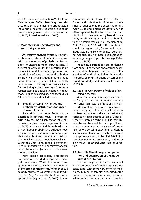used for parameter estimation (Vaclavik and Meentemeyer, 2009). Sensitivity was also used to identify the most important factors influencing the predicted efficiencies of different management options (Stansbury et al., 2002; Roura-Pascual et al., 2010).

#### **3. Main steps for uncertainty and sensitivity analysis**

Uncertainty analysis typically comprises three main steps: (i) definition of uncertainty ranges and/or of probability distributions for uncertain model input factors, (ii) generation of values for the uncertain input factors, (iii) model output computation and description of model output distribution. Sensitivity analysis includes another step to compute sensitivity indices (step iv). Finally, when several model equations are available for predicting a given quantity of interest, a further step is to analyse uncertainty about model equations using specific techniques. All these steps are detailed below.

#### **3.1. Step (i). Uncertainty ranges and probability distributions for uncertain input factors**

Uncertainty in an input factor can be described in different ways. It is often described by the most likely factor value plus or minus a given percentage (e.g. Koch et al., 2009) or it is specified through a discrete or continuous probability distribution over a range of possible values. Among probability distributions, the uniform distribution, which gives equal weight to each value within the uncertainty range, is commonly used in uncertainty and sensitivity analysis when the main objective is to understand model behaviour.

More flexible probability distributions are sometimes needed to represent the input uncertainty. When the input corresponds to a discrete variable (e.g. number of imported consignments, number of successful entries, etc.), discrete probability distribution (e.g. Poisson distribution) is often appropriate (e.g. Yen et al., 2010). Among continuous distributions, the well-known Gaussian distribution is often convenient since it requires only the specification of a mean value and a standard deviation. It is often replaced by the truncated Gaussian distribution, triangular, or by beta distributions, which give upper and lower bounds to the possible values (e.g. Peterson et al., 2009: Yen et al., 2010). When the distribution should be asymmetric, for example when input factors are likely to be near zero, lognormal, triangular, or beta distributions offer a large range of possibilities (e.g. Peterson et al., 2009).

Probability distributions can be derived from expert knowledge and/or from experimental data. Bayesian statistics now offer a variety of methods and algorithms to derive probability distributions by combining expert knowledge and data (e.g. Gelman et al., 2004).

#### **3.2. Step (ii). Generation of values of uncertain factors**

Monte Carlo sampling is a popular method for generating representative samples from uncertain factor distributions. In Monte Carlo sampling, the samples are drawn independently, and this approach provides unbiased estimates of the expectation and variance of each output variable. Other alternative sampling techniques like Latin Hypercube can be used. It is also possible to generate combinations of values of uncertain factors by using experimental designs like, for example, complete factorial designs. This approach was used by EFSA (2008b) to combine minimum, maximum, and most likely values of several uncertain input factors.

## **3.3. Step (iii). Model output computation and description of the model output distribution**

This step may be difficult to carry out when computation of model output is timeconsuming. With some very complex models, the number of samples generated at the previous step must be set equal to a small value due to computation time constraint.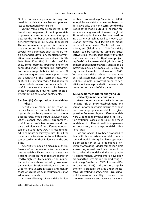On the contrary, computation is straightforward for models that are less complex and less computationally intensive.

Output values can be presented in different ways. In general, it is not appropriate to present all the computed model outputs because the number of computed values is generally very high (i.e. several thousands). The recommended approach is to summarize the output distributions by calculating several key parameters such as mean, median, standard deviation, coefficient of variation, several extreme percentiles (1%, 5%, 10%, 90%, 95%, 99%). It is also useful to show some graphical presentations of the computed model outputs, like histograms and cumulative probability distributions. All these techniques have been applied in several quantitative risk assessments (e.g. Koch et al., 2009; Peterson et al., 2009). When the model includes several output variables, it is useful to analyse the relationships between these variables by drawing scatter plots or by computing correlation coefficients.

## **3.4. Step (iv). Computation of sensitivity indices**

Sensitivity of model output to an uncertain factor is commonly studied by using simple graphical presentation of model outputs versus model inputs (e.g. Koch et al., 2009; Giovanelli et al., 2010). This approach is useful but not sufficient to assess and compare the influence of the different input factors in a quantitative way. It is recommended to compute sensitivity indices for all the uncertain factors in order to rank these factors according to their influence on the outputs.

A sensitivity index is a measure of the influence of an uncertain factor on a model output variable. Factors whose values have a strong effect on the model are characterized by high sensitivity indices. Non-influential factors are characterized by low sensitivity indices. Sensitivity indices can thus be used to rank uncertain factors and identify those which should be measured or estimated more accurately.

A great diversity of sensitivity indices

has been proposed (e.g. Saltelli et al., 2000). In local SA, sensitivity indices are based on derivative calculation and correspond to the slopes of the model output in the input factor space at a given set of values. In global SA, sensitivity indices can be computed using a variety of techniques like ANOVA, correlation between input factors and model outputs, Fourier series, Monte Carlo simulations, etc. (Saltelli et al., 2000). Sensitivity indices can be computed using statistical software (e.g. the package sensitivity of the statistical software R http://cran.r-project. org/web/packages/sensitivity/index.html) or more specialized software, such as Simlab (http://simlab.jrc.ec.europa.eu/), @Risk, or Crystal ball. Examples of calculation of ANO-VA-based sensitivity indices in quantitative pest risk assessment can be found in EFSA (2008b). Examples of correlation-based sensitivity indices are provided in the case study presented at the end of this paper.

#### **3.5. Specific methods for analysing uncertainty in model equations**

Many models are now available for estimating risk of entry, establishment, and spread. In some cases, it is difficult to choose the most appropriate model for a given question. For example, five different models were used to map invasive species distribution by Roura-Pascual et al. (2009) and these models led to different predictions generating uncertainty about the potential distributional area.

Two approaches have been proposed to deal with this uncertainty, model comparison and model mixing. The latter approach is also called consensual predictions or ensemble forecasting. Model comparison aims at assessing several candidate models in order to select the model with the best predictive performance. Several criteria have been proposed to assess models for predicting invasion (e.g. Smith et al., 1999; Townsend Peterson et al., 2008) and the most popular criterion is probably the area under the Receiver Operating Characteristic (ROC) curve, which measures the ability of models to discriminate presence and absence locations.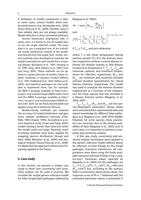A limitation of model comparison is that, in some cases, several models show similar performance (e.g. Hernandez et al., 2006; Roura-Pascual et al., 2009). Another issue is that reliable data are not always available. Model selection is then somewhat arbitrary.

Several statisticians emphasised that, in some cases, it is better to mix all models than to use the single selected model. The basic idea is to use a weighted sum of the individual model predictions instead of the prediction derived from the single 'best' model. Several methods were developed to estimate the weight associated to each model from a training dataset (Buckland et al., 1997; Hoeting et al., 1999; Yang, 2003; Raftery et al., 2005; Yuan and Yang, 2005). These methods can be applied to a great diversity of models, linear, logistic, nonlinear, or dynamic models (Raftery et al., 1997; Viallefond et al., 2001; Raftery et al., 2005), and statistical packages are now available to implement them. See, for example, the BMA R package available at http://cran.rproject.org/web/packages/BMA/index.html and the MMIX R package available at http:// cran.r-project.org/web/packages/MMIX/index.html. Both can be freely downloaded and applied using the R statistical software.

Model-mixing methods can improve the accuracy of model predictions and give more realistic confidence intervals (Chatfield, 1995; Draper, 1995). According to a recent statistical study (Yuan and Yang, 2005), model-mixing is better than selection when the model errors are large. Recently, model-mixing methods have been applied for mapping species distribution (Araujo and New, 2006; Marmion et al., 2009) and biological invasion (Roura-Pascual et al., 2009). It is likely that this approach will be more frequently applied in the future.

#### **4. Case study**

In this section, we present a simple case study to show how uncertainty and sensitivity analysis can be used in practice. We consider the simple generic infection model for foliar fungal plant pathogens defined by Magarey et al. (2005):

$$
W = \min\left\{W_{\max}, \frac{W_{\min}}{f(T)}\right\}
$$

and

$$
f(T) = \left(\frac{T_{\text{max}} - T}{T_{\text{max}} - T_{opt}}\right) \left(\frac{T - T_{\text{min}}}{T_{opt} - T_{\text{min}}}\right)^{(T_{opt} - T_{\text{min}})/(T_{\text{max}} - T_{opt})}
$$

if  $T_{\text{min}} \leq T \leq T_{\text{max}}$  and zero otherwise

where  $T$  is the mean temperature during wetness period (°C), W is the wetness duration required to achieve a critical disease intensity (5% disease severity or 20% disease incidence) at temperature T.  $T_{min}$ ,  $T_{out}$ ,  $T_{max}$  are minimum, optimal, and maximum temperatures for infection, respectively,  $W_{\text{min}}$  and  $W_{\text{max}}$  are minimum and maximum possible wetness duration requirements for critical disease intensity, respectively. This model was used to compute the wetness duration requirement as a function of the temperature for many species and was included in a disease forecast system (Magarey et al., 2005; 2007).

 $T_{min}$ ,  $T_{opt}$ ,  $T_{max}$ ,  $W_{min}$  and  $W_{max}$  are five species-dependent parameters whose values were estimated from experimental data and expert knowledge for different foliar pathogens (e.g. Magarey et al., 2005; EFSA 2008b). However, for some species, these parameters are uncertain due to the limited availability of data (Magarey et al., 2005) and, in such cases, it is important to perform uncertainty and sensitivity analysis.

In this case study, uncertainty and sensitivity analysis techniques were applied to the generic infection model defined above for infection of bean foliage by the fungal pathogen Sclerotinia sclerotiorum. All computations were done using the freely available statistical software R (http://cran.r-project.org/). Parameter values reported by Magarey et al. (2005) for this pathogen are  $T_{\text{min}}$ =1°C,  $T_{\text{opt}}$ =25°C,  $T_{\text{max}}$ =30°C,  $W_{\text{min}}$ =48 h and  $W_{\text{max}}$ =144 h but, according to the authors, there is uncertainty about these values. The response curve of W vs. T obtained with the estimated parameter values is presented in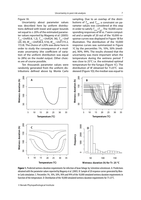Figure 1A.

Uncertainty about parameter values was described here by uniform distributions defined with lower and upper bounds set equal to  $\pm$  20% of the estimated parameter values reported by Magarey et al. (2005):  $T_{\scriptscriptstyle{\text{min}}}\!\sim\!Unif(0.8,\,1.2),\, T_{\scriptscriptstyle{\text{max}}}\!\sim\!Unif(24,\,36),\, T_{\scriptscriptstyle{\text{opt}}}\!\sim\!Unif(0.8,\,1.2),$ (20, 30), W<sub>min</sub>~Unif(38.4, 57.6), W<sub>max</sub>~Unif (115.2, 172.8). The choice of  $\pm$ 20% was done here in order to study the consequence of a moderate uncertainty (the coefficient of variation of the uniform distribution was equal to 28%) on the model output. Other choices are of course possible.

Ten thousands parameter values were randomly generated from the uniform distributions defined above by Monte Carlo

sampling. Due to an overlap of the distributions of  $T_{opt}$  and  $T_{max}$ , a constraint on parameter values was considered at this step in order to satisfy  $T_{max} > T_{opt}$ . The 10,000 corresponding responses of W vs. T were computed and a sample of 20 out of the 10,000 response curves was displayed in Figure 1B for illustration. The distribution of the 10,000 response curves was summarized in Figure 1C by the percentiles 1%, 10%, 50% (median), 90%, 99%. The results showed that the uncertainty was more important when the temperature during the wetness period T was close to 25°C i.e. the estimated optimal temperature for the fungus (Figure 1C). The distribution of W obtained for T=25°C was skewed (Figure 1D); the median was equal to



Figure 1. Predicted wetness duration requirements for infection of bean foliage by Sclerotinia sclerotiorum. A: Predictions obtained with the parameter values reported by Magarey et al. (2005). B: Sample of 20 response curves generated by Monte Carlo simulation. C: Percentiles 1%, 10%, 50%, 90% and 99% of the 10,000 simulated wetness duration requirements in function of the temperature. D: Distribution of the 10.000 simulated wetness duration requirements for  $T=25^{\circ}$ C.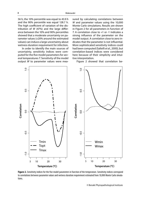56 h, the 10% percentile was equal to 43.9 h and the 90% percentile was equal 128.7 h. The high coefficient of variation of the distribution of  $W$  (47%) and the large difference between the 10% and 90% percentiles showed that a moderate uncertainty on parameter values (±20% around the estimated values) can induce a large uncertainty about wetness duration requirement for infection.

In order to identify the main sources of uncertainty, sensitivity indices were computed for the five model parameters for several temperatures T. Sensitivity of the model output W to parameter values were measured by calculating correlations between W and parameter values using the 10,000 Monte Carlo simulations. Results are shown in Figure 2 for all parameters in function of T. A correlation close to +1 or -1 indicates a strong influence of the parameter on the model output. A correlation close to zero indicates that the parameter is not influential. More sophisticated sensitivity indices could had been computed (Saltelli et al., 2000), but correlation-based indices were considered here because of their simplicity and intuitive interpretation.

Figure 2 showed that correlation be-



Figure 2. Sensitivity indices for the five model parameters in function of the temperature. Sensitivity indices correspond to correlations between parameter values and wetness duration requirement estimated from 10,000 Monte Carlo simulations.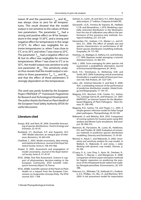tween  $W$  and the parameters  $\mathcal{T}_{\mathsf{min}}$  and  $W_{\mathsf{min}}$ was always close to zero for all temperatures. This result showed that the model output is not sensitive to the values of these two parameters. The parameter  $T_{opt}$  had a strong and positive effect on W for temperature in the range 15-20°C, and a strong and negative effect for temperature in the range 27-32°C. Its effect was negligible for extreme temperatures i.e. when  $T$  was close to 5°C or to 35°C and when T was close to 25°C. The parameter  $T_{\text{max}}$  had a negative effect on W, but its effect was negligible for extreme temperatures. When T was close to 5°C or to 35°C, the model output was sensitive to only one parameter:  $W_{\text{max}}$ . This sensitivity analysis thus reveals that the model output is sensitive to three parameters  $T_{opt}$ ,  $T_{max}$  and  $W_{max}$ and that the effect of these parameters is strongly dependent on the temperature.

This work was partly funded by the European Project PRATIQUE (7<sup>th</sup> Framework Programme for Research and Technological Development). The author thanks the Panel on Plant Health of the European Food Safety Authority (EFSA) for useful discussions.

#### **Literature cited**

- Araujo, M.B. and New, M. 2006. Ensemble forecasting of species distributions. Trend in Ecology and Evolution, 22: 42-47.
- Buckland, S.T., Burnham, K.P. and Augustin, N.H. 1997. Model selection: an integral part of inference. Biometrics, 53: 603-618.
- Chatfield, C. 2005. Model uncertainty, data mining, and statistical inference. Journal of the Royal Statistical Society: Series A, 158: 419-466.
- Draper, D. 2005. Assessment and propagation of model uncertainty. Journal of the Royal Statistical Society: Series A, 57: 45-97.
- EFSA. 2008a. Pest Risk Assessment. Science in support of phytosanitary decision-making in the European Community. EFSA Scientific Colloquium Summary Report 10, Parma.
- EFSA. 2008b. Scientific opinion of the Panel on Plant Health on a request from the European Commission on Guignardia citricarpa Kiely. The EFSA Journal, 925: 1-108.
- Gelman, A., Carlin, J.B. and Stern, H.S. 2004. Bayesian data analysis. 2nd edition. Chapman & Hall/CRC.
- Giovanelli, J.G.R., Ferreira de Siqueira, M., Haddad, C.F.B. and Alexandrino, J. 2010. Modeling a spatially restricted distribution in the Neotropics: how the size of calibration area affects the performance of five presence-only methods. Ecological modeling, 221: 215-224.
- Hernandez, P.A., Graham, C.H., Master, L.L. and Albert, D.L. 2006. The effect of sample size and species characteristics on performance of different species distribution modelling methods. Ecography, 29: 773-785.
- Hoeting, J.A., Madigan, D., Raftery, A.E. and Volinsky, C.T. 1999. Bayesian model averaging: a tutorial. Statistical Science, 14: 382-417.
- Holt, J. 2006. Score averaging for alien species risk assessment: a probabilistic alternative. Journal of Environmental Management, 81: 58-62.
- Koch, F.H., Yemshanov, D., McKenney, D.W. and Smith, W.D. 2009. Evaluating critical uncertainty thresholds in a spatial model of forest pest invasion risk. Risk Analysis, 29: 1227-1241.
- Lobo, J.M., Jiménez-Valverde, A. and Real, R. 2008. AUC: a misleading measure of the performance of predictive distribution models. Global Ecology and Biogeography, 17: 145-151.
- Magarey, R.D., Borchert, D.M., Fowler, G.L, Sutton, T.G., Colunga-Garcia, M., and Simpson, J.A. 2007. NAPPFAST, an Internet System for the Weatherbased Mapping of Plant Pathogens. Plant Disease, 91: 336-445.
- Magarey, R.D., Sutton, T.B. and Thayer, C.L. 2005. A simple generic infection model for foliar fungal plant pathogens. Phytopathology, 95: 92-100.
- Makowski, D. and Mittinty, M.N. 2010. Comparison of scoring systems for invasive pests using ROC analysis and Monte Carlo simulations. Risk analysis, 30: 906-915.
- Marmion, M., Parviainen, M., Luoto, M., Heikkinen, R.K. and Thuiller, W. 2009. Evaluation of consensus methods in predictive species distribution modelling. Diversity and Distribution, 15: 59-69.
- Monod, H., Naud, C. and Makowski, D. 2006. Uncertainty and sensitivity analysis for crop models. In Wallach, D., Makowski, D. and Jones, J. (eds). Working with dynamic crop models. Elsevier, p. 55-100.
- O'Leary, R. A., Low Choy, S., Kynn, M., Denham, R., Martin, T., Murray, J., and Mengersen, K. 2008. Comparison of three expert elicitation methods for logistic regression on predicting the presence of the threatened brush-tailed rock-wallaby Petrogale penicillata. Environmetrics, 20: 379- 398.
- Peterson, G.L., Whitaker, T.B., Stefanski, R.J., Podleckis, E.V., Phillips, J.G., Wu, J.S. and Martinez, W.H. 2009. A risk assessment model for importation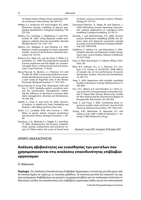of United States milling wheat containing Tilletia contraversa. Plant Disease, 96: 560-573.

- Phillips, S.J., Anderson, R.P. and Schapire, R.E. 2006. Maximum entropy modeling of species geographic distributions. Ecological modelling, 190: 231-259.
- Raftery, A.E., Gneiting, T., Balabdaoui, F. and Polakowski, M. 2005. Using Bayesian model averaging to calibrate forecast ensembles. Monthly Weather Review, 133: 1155-1174.
- Raftery, A.E., Madigan, D. and Hoeting, J.A. 1997. Bayesian model averaging for linear regression models. Journal of the American Statistical Association, 92: 179-191.
- Roberts, R.G., Hale, C.N., van der Zwet, T., Miller, C.E. and Redin, S.C. 1998. The potential for spread of Erwinia amylovora and fire blight via commercial apple fruit; a critical review and risk assessment. Crop Protection, 17:19-28
- Roura-Pascual, N., Brotons, L.I., Peterson, A.T. and Thuiller, W. 2009. Consensual predictions of potential distributional areas for invasive species: a case study of Argentine ants in the Iberian Peninsula. Biological Invasions, 11: 1017-1031.
- Roura-Pascual, N., Krug, R.M., Richardson, D.M. and Hui, C. 2010. Spatially-explicit sensitivity analysis for conservation management: exploring the influence of decisions in invasive alien plant management. Diversity and Distributions, 16: 426-438.
- Saltelli, A., Chan, K. and Scott, M. 2000. Sensitivity Analysis. In Saltelli et al. (eds). Probability and Statistics. John Wiley and Sons, New York.
- Smith, C.S., Lonsdale, W.M. and Fortune, J. 1999. When to ignore advice: invasion predictions and decision theory. Biological Invasions, 1: 89- 96.
- Stansbury, C.D., McKirdy, S.J., Diggle, A.J. and Riley, I.T. 2002. Modeling the risk of entry, establishment, spread, containment, and economic impact of Tilletia indica, the cause of karnal bunt

of wheat, using an Australian context. Phytopathology, 92: 321-331.

- Townsend Peterson, A., Papeç, M. and Soberon, J. 2008. Rethinking receiver operating characteristic analysis applications in ecological niche modeling. Ecological modelling, 213: 63-72.
- Vaclavik, T. and Meentemeyer, R.K. 2009. Invasive species distribution modelling (iSDM): Are absence data and dispersal constraints needed to predict actual distribution? Ecological Modelling, 220: 3248-3258.
- Viallefont, V., Raftery A.E. and Richardson, S. 2001. Variable selection and Bayesian model averaging in case-control studies. Statistics in Medicine, 20: 3215-3230.
- Vose, D. 2000. Risk Analysis. 2nd edition. Wiley, Chichester, UK.
- Wisz, M.S., Hijmans, R.J., Li, J., Peterson, A.T., Graham, C.H., Guisan, A. and NCEAS. 2008. Effects of sample size on the performance of species distribution models. Diversity and Distributions, 14: 763-773.
- Yang, Y. 2003. Regression with multiple candidate models: selecting or mixing? Statistica Sinica, 13: 783-809.
- Yen, J.D.L., Waters, E.K. and Hamilton, A.J. 2010. Cocoa pod borer (Conopomorpha cramerella Snellen) in Papua New Guinea: Biosecurity models for New Ireland and the Autonomous Region of Bougainville. Risk Analysis, 30: 293-309.
- Yuan, Z. and Yang, Y. 2005. Combining linear regression models: when and how? Journal of the American Statistical Association, 100: 1202-1214.
- Young, A.M., Blackshaw, B., Maywald, G.F. and Sutherst, R.W. 1999. CLIMEX for Windows 1.1. Tutorials. CSIRO Melbourne, 49 pp.

Received: 3 June 2010; Accepted: 29 October 2010

# ΑΡΘΡΟ ΑΝΑΣΚΟΠΗΣΗΣ

# **Ανάλυση αβεβαιότητας και ευαισθησίας των μοντέλων που χρησιμοποιούνται στις αναλύσεις επικινδυνότητας επιβλαβών οργανισμών**

## D. Makowski

**Περίληψη** Στις Αναλύσεις Επικινδυνότητας Επιβλαβών Οργανισμών τα ποσοτικά μοντέλα έχουν πολλά πλεονεκτήματα σε σχέση με τις ποιοτικές μεθόδους. Τα ποσοτικά μοντέλα δεν απαιτούν τον ορισμό κατηγορικών διαβαθμίσεων και μπορούν να χρησιμοποιηθούν για τον υπολογισμό ποσοτικών πιθανοτήτων εισόδου και εγκατάστασης ενός επιβλαβούς οργανισμού καθώς και για την ποσοτικοποίη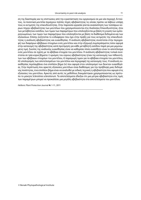ση της διασποράς και τις επιπτώσεις από την εγκατάσταση του οργανισμού σε μια νέα περιοχή. Εντούτοις, τα ποσοτικά μοντέλα περιέχουν πολλές πηγές αβεβαιότητας τις οποίες πρέπει να λάβουν υπόψη τους οι εκτιμητές της επικινδυνότητας. Στην παρούσα εργασία γίνεται ανασκόπηση των τεσσάρων κύριων πηγών αβεβαιότητας των μοντέλων που χρησιμοποιούνται στις Αναλύσεις Επικινδυνότητας, ήτοι των μεταβλητών εισόδου, των τιμών των παραμέτρων που υπολογίζονται με βάση τη γνώση των εμπειρογνωμόνων, των τιμών των παραμέτρων που υπολογίζονται με βάση τα διαθέσιμα δεδομένα και των εξισώσεων. Επίσης συζητείται το ενδιαφέρον που έχει στην πράξη για τους εκτιμητές της επικινδυνότητας η ανάλυση αβεβαιότητας και ευαισθησίας. Η ανάλυση αβεβαιότητας συνίσταται στην περιγραφή των διαφόρων αβέβαιων στοιχείων ενός μοντέλου και στην εξαγωγή συμπεράσματος όσον αφορά στην κατανομή της αβεβαιότητας κατά προτίμηση για κάθε μεταβλητή εισόδου παρά για μια μεμονωμένη τιμή. Σκοπός της ανάλυσης ευαισθησίας είναι να καθορίσει πόσο ευαίσθητο είναι το αποτέλεσμα ενός μοντέλου σε σχέση με τα αβέβαια στοιχεία του μοντέλου. Η ανάλυση αβεβαιότητας τυπικά συνίσταται σε τρία κύρια βήματα: i) ορισμός του εύρους αβεβαιότητας ή/και της κατανομής των πιθανοτήτων των αβέβαιων στοιχείων του μοντέλου, ii) παραγωγή τιμών για τα αβέβαια στοιχεία του μοντέλου, iii) υπολογισμός των αποτελεσμάτων του μοντέλου και περιγραφή της κατανομής τους. Η ανάλυση ευαισθησίας περιλαμβάνει ένα επιπλέον βήμα (iv) που αφορά στον υπολογισμό των δεικτών ευαισθησίας. Στην περίπτωση που αρκετές εξισώσεις μοντέλων είναι διαθέσιμες για την πρόβλεψη μιας δεδομένης ποσότητας, ένα επιπλέον βήμα είναι να αναλυθεί με ειδικές τεχνικές η αβεβαιότητα που αφορά στις εξισώσεις του μοντέλου. Αρκετές από αυτές τις μεθόδους δοκιμάστηκαν χρησιμοποιώντας ως πρότυπο το μύκητα Sclerotinia sclerotiorum. Τα αποτελέσματα έδειξαν ότι μια μέτρια αβεβαιότητα στις τιμές των παραμέτρων μπορεί να προκαλέσει μια μεγάλη αβεβαιότητα στα αποτελέσματα του μοντέλου.

Hellenic Plant Protection Journal **4:** 1-11, 2011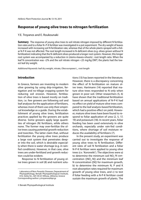# **Response of young olive trees to nitrogen fertilization**

#### Y.E. Troyanos and E. Roukounaki

**Summary** The response of young olive trees to soil nitrate nitrogen imposed by different N fertilization rates and to a foliar N–P-K fertilizer was investigated in a pot experiment. The dry weight of leaves increased with increasing soil N fertilization rate, whereas that of the whole plants sprayed with a foliar N-P-K was not affected. The root length increased in N-deficient olives (e.g. olives grown without N fertilization) indicating that the N-deficient olives produced a longer root system. However, this longer root system was accompanied by a reduction in (stems+leaves+shoots) : root length ratio. When the leaf N concentration was <2% and the soil nitrate nitrogen <25 mg/kg DWT, the plants had the lowest leaf dry weight.

Additional Keywords: leaf dry weight, nitrate, Olea europaea L., root length

## **Introduction**

In Greece, farmers are investing to modern olive growing by using drip-irrigation, fertigation and no-tillage cropping system for reducing soil erosion. However, fertilization of olive trees is based mostly on tradition, i.e. few growers are following soil and leaf analyses for the application of fertilizers, whereas most of them use only their empirical knowledge as a guide. During the establishment of young olive trees, fertilization practices applied by the growers are quite diverse. Some growers apply large quantities of nitrogen (N) fertilizers, while others none. The former may over-fertilize the olive trees causing potential growth reduction and toxicities. The latter claim that, without fertilization the young olive trees produce a large root system that penetrates deeper into the soil, which is desirable especially when there is water shortage (e.g. in rainfed conditions). However, in that case, olive trees are under-fertilized and growth reduction could be evident.

Response to N fertilization of young olive trees grown in soil (8) and nutrient solu-

© Benaki Phytopathological Institute

tions (13) has been reported in the literature. However, there is a discrepancy concerning the effect of N fertilization on mature olive trees. Hartmann (14) reported that mature olive trees responded to N only when grown in poor soil. Other researchers (5, 6) have shown that the traditional fertilization based on annual applications of N-P-K had no effect on yield of mature olive trees compared to the leaf analysis-based fertilization, which had a positive effect on yield. However, mature olive trees have been found to respond to foliar application of urea (2, 5, 17, 19) and potassium (18). In recent years, foliar feeding has been used extensively in olive orchards, especially under rain-fed conditions, where shortage of soil moisture reduces the availability of fertilizers (7).

In the present study, an experiment was carried out to investigate the response of young olive trees to N fertilization. Different rates of soil N fertilization and a foliar N-P-K fertilizer were applied to young olive trees (cv. 'Koroneiki'). The objectives were a) to determine the minimum soil  $NO_{3}$ -N concentration ([NO<sub>3</sub>-N]) and the minimum leaf N concentration ([N]) for maximum growth, b) to determine the minimum N, P and K root absorption rates required for maximum growth of young olive trees, and c) to test if foliar feeding with a N-P-K fertilizer could sustain the maximum growth of plants. The

Laboratory of Non-Parasitic Diseases, Deparatment of Phytopathology, Benaki Phytopathological Institute, 8 St. Delta Str., GR-145 61 Kifissia, (Athens), Greece Corresponding author: y.troyanos@bpi.gr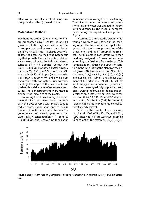effects of soil and foliar fertilization on olive tree growth and leaf [N] are discussed.

#### **Material and Methods**

Two hundred sixteen (216) one-year-old micro-propagated olive trees (cv. 'Koroneiki'), grown in plastic bags filled with a mixture of compost and perlite, were transplanted on 16 March 2007 into 14 l plastic pots to facilitate the access to their root system during their growth. The plastic pots contained a clay loam soil with the following characteristics:  $pH = 7.7$ , Electrical Conductivity (EC) = 0.66 dS/m (Saturated Paste), Organic matter = 1%, CaCO<sub>3</sub> = 29%, P = 3 ppm (Olsen method),  $K = 156$  ppm (extraction with 1 M NH<sub>4</sub>OAc at pH = 7.0) and B = 1.3 ppm (extraction with hot water). Prior to transplanting, the length of the new shoots and the length and diameter of stems were measured. These measurements were used to estimate the initial size of the plants.

Following their transplanting, the experimental olive trees were placed outdoors with the pots covered with plastic bags to reduce water evaporation and to ensure that no rain water would enter the pots. The young olive trees were irrigated using tap water (NO<sub>3</sub>-N concentration = 1.1 ppm, EC = 0.915 dS/m) and received no fertilization

for one month following their transplanting. The soil moisture was monitored using tensiometers and water was applied to the soil until field capacity. The mean air temperatures during the experiment are given in Figure 1.

According to their size, the experimental young olive trees were sorted in descending order. The trees were then split into 6 groups, with the  $1<sup>st</sup>$  group consisting of the largest ones and the 6<sup>th</sup> group of the smallest. The 36 plants in each group were then randomly assigned to 6 rows and columns according to a 6x6 Latin Square design. This randomization reduced the effect of variation in the initial size of the plants on their final growth (1). Five different soil N fertilization rates, 0 (N<sub>0</sub>), 0.95 (N<sub>1</sub>), 1.90 (N<sub>2</sub>), 3.80 (N<sub>3</sub>) and 6.25 (N<sub>4</sub>) g N (Table 1) and a foliar treatment of 0.3 g/l of 21-21-21 (N-P-K) soluble fertilizer (N<sub>f</sub>), as recommended by the manufacturer, were gradually applied to each plant. During the course of the experiment, a total of six destructive harvests were carried out 31, 65, 93, 136, 167 and 201 days after the first fertilization (DAF) by randomly selecting 36 plants (6 treatments x 6 replications) at each harvest.

Based on the results of soil analyses, on 15 April 2007, 0.74 g KH $_{2}$ PO $_{4}$  and 1.33 g  $\mathsf{K}_2$ SO<sub>4</sub> dissolved in 1 l tap water were applied to each pot of the treatments  $\mathsf{N}_{_{0'}}$   $\mathsf{N}_{_{1'}}$   $\mathsf{N}_{_{2'}}$   $\mathsf{N}_{_{3}}$ 



Figure 1. Changes in the mean daily temperature (°C) during the course of the experiment. DAF: days after first fertilization.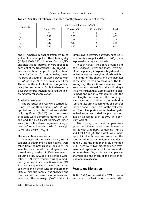| Treatments  | Soil N fertilization rates (g/pot) |             |              |       |
|-------------|------------------------------------|-------------|--------------|-------|
|             | 16 April 2007                      | 15 May 2007 | 15 June 2007 | Total |
| $N_{o}$     | U                                  |             | 0            | 0     |
| N           | 0.45                               | 0.50        | 0            | 0.95  |
| $N_{\rm s}$ | 0.45                               | 0.45        |              | 1.90  |
| N,          | 0.45                               | 1.35        |              | 3.80  |
| Ν           | 0.45                               | 1.80        |              | 6.25  |

|  | <b>Table 1.</b> Soil N fertilization rates applied monthly to one-year-old olive trees. |
|--|-----------------------------------------------------------------------------------------|
|--|-----------------------------------------------------------------------------------------|

and  $\mathsf{N}_{_{\mathsf{4}\!,}}$  whereas in pots of treatment  $\mathsf{N}_{_{\mathsf{f}}}$  no soil fertilizer was applied. The following day (16 April 2007), 0.45 g N, derived from  $\mathrm{NH}_4\mathrm{NO}_3$ and dissolved in 1 l tap water, were applied to each pot of the treatments  $\mathsf{N}_{_{1'}}$   $\mathsf{N}_{_{2'}}$   $\mathsf{N}_{_{3}}$  and  $\mathsf{N}_{_{4,}}$ whereas no N was applied to pots of treatment  $N_{0}$  (Control). On the same day, the olive trees of treatment  $N_f$  were sprayed with 0.3 g/l of 21-21-21 (N-P-K) soluble fertilizer. The rest of the soil N fertilizer was gradually applied according to Table 1, whereas the olive trees of treatment  $\mathsf{N}_\mathsf{f}$  received a total of six monthly foliar applications.

#### **Statistical analyses**

The statistical analyses were carried out using Genstat (10th Edition). ANOVA was applied and when the F-test was statistically significant ( $P < 0.05$ ) the comparisons of means were performed using the Duncan and the LSD (Least significant differences) tests. Non-linear regression analysis was performed between the leaf dry weight (DWT) and the soil  $[NO<sub>3</sub>-N]$ .

#### **Harvests - Measurements**

One week prior to each harvest, 36 soil samples (6 treatments x 6 replications) were taken from the pots using a soil auger. The samples were stored in a refrigerator and the following day the soil NO $_{\text{3}}$ -N was extracted using a 1:10 w/w soil to deionized water ratio. NO<sub>3</sub>-N was determined using a modified hydrazine nitrate reduction method (21). Each soil sample was extracted and analysed twice and if the results differ more than 10%, a third sub-sample was analysed and the mean of the three measurements was estimated. The dry weight (DWT) of the soil

samples was determined after drying at 105°C until constant weight and the soil [NO<sub>3</sub>-N] was expressed on a dry weight basis.

At each harvest, the above ground plant parts, i.e. leaves, stems and shoots, were cut, placed separately into plastic bags to reduce moisture loss and weighted (fresh weight). The length of the shoots and the diameter of the stems were also measured. The following day, the roots were removed from each pot and washed from the soil using a sieve mesh; then they were placed into plastic bags and put in a refrigerator until the root length was measured. The root length was measured according to the method of Tennant (20) using square grids of 1 cm (for the first harvest) and 2 cm (for the rest 5 harvests). All plant parts were washed using deionised water and dried by placing them into an air-forced oven at  $80^{\circ}$ C until constant weight.

After drying, the plant samples were ground and 100 mg of each sample were digested with 2 ml  $H_2$ SO<sub>4</sub> containing 1 g/l Se and 1 ml 30%  $H_2O_2$ . The digests were made up to 25 ml with deionized water and the concentration of ammonium-N was determined using the indophenol blue method (22). There were two digestions per treatment and replication and if the results differ more than 10%, a third sub-sample was analysed and the mean of the three measurements was taken.

#### **Results and Discussion**

At 201 DAF (last harvest), the DWT of leaves responded to N fertilization treatments (Fig.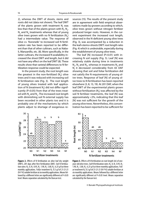2), whereas the DWT of shoots, stems and roots did not (data not shown). The leaf DWT of the plants grown with treatment  $N_f$  was less than that of the plants grown with  $N_{1'} N_{2'}$  $\mathsf{N}_{\mathsf{3}}$  and  $\mathsf{N}_{\mathsf{4}}$  treatments whereas that of young olive trees grown with no N fertilization  $(N_0)$ had a intermediate value. The response of olive cv. 'Koroneiki' to increased soil N fertilization rate has been reported to be different than that of other cultivars, such as Nabali, Manzanillo, etc. (8). More specifically, in the latter cultivars, the increased N availability increased the shoot DWT and length, but it did not have any effect on the leaf DWT (8). These results show that varietal differences to N fertilization response could be expected.

In the present study, the root length was the greatest in the non-fertilized (N<sub>0</sub>) olive trees and it was reduced with increasing soil N fertilization rate (Fig. 3). The root length of young olives treated with leaf application of N (treatment  $N_f$ ) did not differ significantly (P<0.05) from that of the trees treated with  $\mathsf{N}_{_{\mathtt{3}}}$  and  $\mathsf{N}_{_{\mathtt{4}}}$ . The increased root length with diminishing soil N external supply has been recorded in other plants too and it is probably one of the mechanisms by which plants adjust to shortage of exogenous resources (15). The results of the present study are in agreement with field empirical observations made by growers according to which, olive trees grown without nitrogen fertilizer produced longer roots. However, in the current experiment the increased root length, observed in the N-deficient young olive trees (Fig. 3), was accompanied by a reduction in the leaf+stems+shoots DWT: root length ratio (Fig. 4) which is undesirable, especially during the establishment of young olive trees.

The leaf [N] increased (P<0.01) with increasing N soil supply (Fig. 5). Leaf [N] was relatively stable during time in treatments  $N_{2'}$ ,  $N_{3}$  and  $N_{4'}$ , whereas in treatments  $N_{0}$  and  $N_f$  it decreased considerably from 65 DAF showing that soil and foliar fertilization did not satisfy the N requirements of young olive trees. Response of leaf [N] of young olive trees to N fertilization has been reported elsewhere (3, 8, 13, 19). At 201 DAF, when the leaf DWT of the experimental plants grown without fertilization (N<sub>0</sub>) was affected by the soil N fertilizer treatments, the leaf [N] was approximately <2%, indicating that this leaf [N] was not sufficient for the growth of the young olive trees. Nevertheless, this concentration has been reported to be sufficient for

30 b b b 28 Leaf DWT (g) **Leaf DWT (g)** 26 24 22 20 N<sub>0</sub>  $N<sub>1</sub>$ N<sub>2</sub> N<sub>3</sub> N4 Nf **N fertilizer treatments**



Figure 2. Effects of N fertilization on olive leaf dry weight (DWT), 201 days after first fertilization (DAF). Soil N fertilization rates: N<sub>o</sub>: 0, N<sub>1</sub>: 0.95, N<sub>2</sub>: 1.90, N<sub>3</sub>: 3.80, N<sub>4</sub>: 6.25 g N at three monthly applications. Foliar treatment N<sub>1</sub>: 0.3 g/l of 21-21-21 (N-P-K) soluble fertilizer at six monthly applications. Means followed by a different letter are significantly different at P<0.05 level. Means separation calculated by the Duncan test.

Figure 3. Effects of N fertilization on root length (m) of oneyear-old olive trees. Soil N fertilization rates: N $_{\rm o}$ : 0, N $_{\rm q}$ : 0.95, N $_{\rm 2}$ : 1.90,  $N_3$ : 3.80,  $N_4$ : 6.25 g N at three monthly applications. Foliar treatment  $N_f$ : 0.3 g/l of 21-21-21 (N-P-K) soluble fertilizer at six monthly applications. Means followed by a different letter are significantly different at P<0.05 level. Means separation calculated by the Duncan test.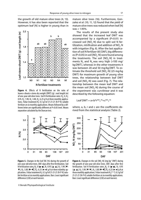the growth of old mature olive trees (4, 13). However, it has also been reported that the optimum leaf [N] is higher in young than in



**Figure 4.** Effects of N fertilization on the ratio of leaves+shoots+stems dry weight (DWT) (g) : root length (m) of one-year-old olive trees. Soil N fertilization rates:  $N_o$ : 0,  $N_i$ : 0.95, N<sub>2</sub>: 1.90, N<sub>3</sub>: 3.80, N<sub>4</sub>: 6.25 g N at three monthly applications. Foliar treatment  $N_f$ : 0.3 g/l of 21-21-21 (N-P-K) soluble fertilizer at six monthly applications. Means followed by a different letter are significantly different at P<0.05 level. Means separation calculated by the Duncan test.



The results of the present study also showed that the increased leaf DWT was accompanied by a significant (P<0.01) increased soil  $[NO<sub>3</sub>-N]$  due to split soil N fertilization, nitrification and addition of  $\mathsf{NO}_{\mathsf{3}}\text{-}\mathsf{N}$ with irrigation (Fig. 6). After the last application of soil N fertilizer (65 DAF), big differences (P<0.05) in soil [NO<sub>3</sub>-N] were found among the treatments. The soil  $[NO_{3}$ -N] in treatments  $\mathsf{N}_{\mathsf{3}}$  and  $\mathsf{N}_{\mathsf{4}}$  was very high (>100 mg/ kgDWT), whereas in the other treatments it was between 20 and 50 mg/kg DWT. To estimate the threshold soil  $\text{[NO}_{\text{3}}\text{-}\text{N]}$  (25 mg/kg DWT) for maximum growth of young olive trees, the relationship between leaf DWT and soil [NO<sub>3</sub>-N] was used (Fig. 7). The relationship between the mean leaf DWT and the mean soil  $\text{[NO}_{\text{3}}\text{-}\text{N}\text{]}$  during the course of the experiment was curvilinear and it was described by the following equation:

$$
Leaf\ DWT=a+b^{*}r^{[NO_{3}^{-N}]}+c^{[NO_{3}^{-N}]}
$$

where,  $a$ ,  $b$ ,  $r$  and  $c$  are the coefficients derived from the statistical analysis (Table 2).





**Figure 5.** Changes in the leaf [N] (%) during the growth of one-year-old olive trees. DAF: days after first fertilization. Soil N fertilization rates: N<sub>0</sub>: 0 (■-■), N<sub>1</sub>: 0.95 (▲-▲), N<sub>2</sub>: 1.90 (▼- $\blacktriangledown$ ), N<sub>3</sub>: 3.80 ( $\blacklozenge - \blacklozenge$ ), N<sub>4</sub>: 6.25 ( $\blacktriangle - \blacktriangledown$ ) g N at three monthly applications. Foliar treatment N<sub>f</sub>: 0.3 g/l of 21-21-21 (N-P-K) soluble fertilizer at six monthly applications. Bars: Least significant

**Figure 6.** Changes in the soil  $[NO<sub>3</sub>-N]$  (mg kg<sup>-1</sup> DWT) during the growth of one-year-old olive trees. DAF: days after first fertilization. Soil N fertilization rates: N<sub>o</sub>: 0 (■-■), N<sub>1</sub>: 0.95  $($ **A** - **A**), N<sub>2</sub>: 1.90 (**▼**-▼), N<sub>3</sub>: 3.80 (◆-◆), N<sub>4</sub>: 6.25 (●-●) g N at three monthly applications. Foliar treatment N<sub>f</sub> (\*-\*): 0.3 g/l of 21-21-21 (N-P-K) soluble fertilizer at six monthly applications.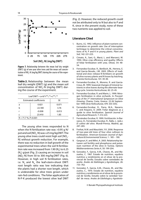

**Figure 7.** Relationship between the mean leaf dry weight (DWT) (g) of one-year olive trees and the mean soil concentration of NO<sub>3</sub>-N (mg/kg DWT) during the course of the exper-<br>. iment.

**Table 2.** Relationship between the mean leaf dry weight (DWT) (g) and the mean soil concentration of  $NO_{3}$ -N (mg/kg DWT) during the course of the experiment.

| Leaf DWT = $a+b*r^{[NO_3-N]}+C^{[NO_3-N]}$ |           |       |  |
|--------------------------------------------|-----------|-------|--|
| <b>Estimated coefficients</b>              |           | SF    |  |
| a                                          | 0.821     | 0.071 |  |
| h                                          | $-22.180$ | 3.76  |  |
|                                            | $-0.008$  | 0.013 |  |
|                                            | 23.410    | 1.85  |  |
| $R = 71.7 %$ , P<0.001                     |           |       |  |

The young olive trees responded to N when the N fertilization rate was > 0.95 g N/ pot and soil [NO $_{\text{3}}$ -N] was ≤25 mg/kgDWT. The young olive trees could resist high soil [NO $_3^{\text{-}}$ N] without growth reduction. For example, there was no reduction in leaf growth of the experimental trees when the soil N fertilization rate was increased from 1.90 (N $_{\textrm{\tiny{\it 2}}})$  to 6.25  $(N_4)$  g/pot (Fig. 2) causing an increase in soil  $[NO<sub>3</sub>-N]$  from 50 to 300 mg/kg DWT (Fig. 6). However, in high soil N fertilization rates, i.e.  $\mathsf{N}_{_{\mathsf{3}}}$  and  $\mathsf{N}_{_{\mathsf{4}_i}}$  the leaf+stem+shoot DWT: root length ratio was low indicating that the plants had a shorter root length, which is undesirable for olive trees grown under rain-fed conditions. The foliar application of N-P-K produced the lowest olive leaf DWT

(Fig. 2). However, the reduced growth could not be attributed only to N but also to P and K, since in the present study, none of these two nutrients was applied to soil.

#### **Literature Cited**

- 1. Burns, I.G. 1992. Influence of plant nutrient concentration on growth rate: Use of interruption technique to determine the critical concentrations of N, P and K in young plants. Plant and Soil, 142: 221-223.
- 2. Cimato, A., Sani, G., Marzi, L. and Marranci, M. 1994. Olive crop efficiency and quality: Effects of foliar fertilization with urea. Olivae, 54: 48- 54.
- 3. Fernandez-Escobar, R., Benlloch, M., Herrera, E. and Garcia-Novalo, J.M. 2003. Effects of traditional and slow–release N fertilizers on growth of olive nursery plants and N losses by leaching. Scientia Horticulturae, 101: 39-49.
- 4. Fernandez-Escobar, R., Moreno, R. and Garcia-Creus, M. 1999. Seasonal changes of mineral nutrients in olive leaves during the alternate-bearing cycle. Scientia Horticulturae, 82: 25-45.
- 5. Fernandez-Escobar, R. and Marin, L. 1999. Nitrogen fertilization in olive orchards. In Proceedings of the 3<sup>nd</sup> International Symposium on Olive Growing. Chania, Crete, Greece. 22-26 September 1999 (Acta Holticulturae, 474: 333-335).
- 6. Fernandez-Escobar, R., Parra, M.A., Navarro, C. and Arquero, O. 2009. Foliar diagnosis as a guide to olive fertilization. Spanish Journal of Agricultural Research, 7: 212-223.
- 7. Fernández-Escobar, R. 1999. Fertilización. In Barranco, D., Fernández-Escobar, R., Rallo, L. (eds.). El cultivo del olivo. Mundi-Prensa, Madrid, pp. 247–265.
- 8. Freihat, N.M. and Masa'deh, Y.K. 2006. Response of two-year-old trees of four olive cultivars to fertilization. American-Eurasian Journal of Agriculture & Environmental Science, 1 : 185 – 190.
- 9. Gargouri, K. and Mihri, A. 2003. Relationship between soil fertility and phosphorus and potassium nutrition of the olive in Tunisia. Options Méditerranéennes Series A, 50: 199-204.
- 10. Gonzalez, F., Garcia, A.M., Chaves, M., and Mazuelos, C. 1967. Estado de nutrition, equibrio nutritivo y rendimiento en el olivar de la provincial de Sevilla. Estudio sobre variedades de aceite. Anales de Edafologia y Agrobiologia, 26: 733–762.
- 11. Gonzalez, F., Garcia, A.M., Chaves, M., and Mazuelos, C., 1970. Estado de nutrition, equibrio nutritivo y rendimiento en el olivar de la provincial de Sevilla. Estudio sobre la variedad 'Gordal' de mesa. Anales de Edofologia y Agrobiolo-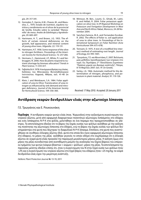gia, 29: 317-341.

- 12. Gonzalez, F., Garcia, A.M., Chaves, M., and Mazuelos, C., 1970. Estado de nutrition, equibrio nutritivo y rendimiento en el olivar de la provincial de Sevilla. Estudio sobre la variedad ''Manzanillo' de mesa. Anales de Edofologia y Agrobiologia, 29: 683-697.
- 13. Hartmann, H. T., and Brown, J.G. 1953. The effects of certain mineral deficiencies on the growth, leaf appearance, and mineral content of young olive trees. Hilgardia. 22: 119-131.
- 14. Hartmann, H.T. 1958. Some response of the olive to nitrogen fertilizers. Proceedings of the American Society for Horticultural Science, 72: 257-266.
- 15. Hermans, C., Hammond, J.P., White, P.J. and Verbruggen, N. 2006. How do plants respond to nutrient shortage by biomass allocation? Trends in Plant Science, 11: 610-617.
- 16. Γαβαλάς Ν.Α. 1978. Η ανόργανη θρέψη της ελαίας. Εκδόσεις του Μπενακείου Φυτοπαθολογικού Ινστιτούτου. Κηφισιά, Αθήναι, σελ. 41-48 (in Greek).
- 17. Klein, I. and Weinbaum, S.A. 1984. Foliar application of urea to Olive: Translocation of urea nitrogen as influenced by sink demand and nitrogen deficiency. Journal of the American Society for Horticultural Science, 109: 356-360.
- 18. Mimoun, M. Ben., Loumi, O., Ghrab, M., Latiri, K. and Hellati, R. 2004. Foliar potassium application on olive tree. In IPI Regional Workshop on Potassium and Fertigation Development in West Asia and North Africa. Rabat, Morocco, 24-28 November 2004.
- 19. Sanchez-Zamora, M.A. and Fernandez-Escobar, R. 2002. The effects of foliar vs. soil application of urea to olive trees. In Proceedings of the International Symposium on Foliar Nutrition (Acta Horticulturae 594: 675-678).
- 20. Tennant, D. 1975. A test of a modified line intersect method of estimating root length. Journal of Ecology, 63: 995-1001.
- 21. Tρωγιάνος, Γ.Ε. και Μουστάκα, Ε. 2007. Βελτίωση μιας μεθόδου προσδιορισμού των νιτρικών στο νερό. Εις Περιλήψεις 2ου Πανελλήνιου Συμπόσιου "Πράσινη χημεία και βιώσιμη ανάπτυξη", Πάτρα, 8-10 Μαρτίου 2007. σελ. 91 (in Greek).
- 22. Varley, J.A. 1966. Automatic method for the determination of nitrogen, phosphorus, and potassium in plant material. Analyst, 91: 119-126.

Received: 17 May 2010; Accepted: 20 January 2011

# **Αντίδραση νεαρών δενδρυλλίων ελιάς στην αζωτούχο λίπανση**

Γ.Ε. Τρωγιάνος και Ε. Ρουκουνάκη

**Περίληψη** Η αντίδραση νεαρών φυτών ελιάς (ποικ. 'Κορωνέϊκη) στην αυξανόμενη συγκέντρωση του νιτρικού αζώτου, μετά από εφαρμογή διαφορετικών ποσοτήτων αζωτούχου λιπάσματος στο έδαφος και ενός λιπάσματος Ν-Ρ-Κ στα φύλλα, μελετήθηκε σε ένα πείραμα που πραγματοποιήθηκε σε γλάστρες. Τα αποτελέσματα έδειξαν ότι το βάρος της ξηράς ουσίας των φύλλων αυξήθηκε με την αύξηση της ποσότητας της αζωτούχου λίπανσης στο έδαφος, ενώ το βάρος της ξηράς ουσίας των φύλλων δεν επηρεάστηκε στα φυτά που δέχτηκαν το διαφυλλικό Ν-Ρ-Κ λίπασμα. Επιπλέον, στα φυτά που αναπτύχθηκαν σε συνθήκες έλλειψης αζώτου (δηλ. φυτά στα οποία δεν έγινε εφαρμογή αζωτούχου λίπανσης στο έδαφος), το μήκος της ρίζας αυξήθηκε γεγονός το οποίο οδηγεί στο συμπέρασμα ότι η έλλειψη αζώτου σε νεαρά φυτά ελιάς προκαλεί την παραγωγή μεγαλύτερου μήκους ρίζας. Η αύξηση όμως στο μήκος της ρίζας συνοδεύτηκε από ανεπιθύμητη μείωση της αναλογίας του ξηρού βάρους του υπέργειου τμήματος των φυτών (νεαρών βλαστών + κορμού + φύλλων) : μήκος της ρίζας. Τα αποτελέσματα της παρούσας μελέτης έδειξαν επίσης ότι, όταν η συγκέντρωση του Ν στην ξηρά ουσία των φύλλων ήταν <2% και η συγκέντρωση του νιτρικού αζώτου στο ξηρό βάρος του εδάφους ήταν <25 mg/kg, τα νεαρά δενδρύλλια ελιάς είχαν την μικρότερη ανάπτυξη.

Hellenic Plant Protection Journal **4:** 13-19, 2011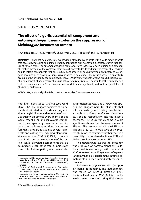# SHORT COMMUNICATION

# **The eff ect of a garlic essential oil component and entomopathogenic nematodes on the suppression of**  *Meloidogyne javanica* **on tomato**

I. Anastasiadis<sup>1</sup>, A.C. Kimbaris<sup>2</sup>, M. Kormpi<sup>1</sup>, M.G. Polissiou<sup>3</sup> and E. Karanastasi<sup>1</sup>

**Summary** Root-knot nematodes are worldwide distributed plant pests with a wide range of hosts that cause downgrading and unmarketability of produce, significant yield decrease, or even total failure of various crops. The entomopathogenic nematodes have extensively been studied as a potential alternative method for the control of plant parasitic nematodes. In addition, the essential oil of garlic and its volatile components that possess fumigant properties against several plant pests and pathogens have also been shown to suppress plant parasitic nematodes. The present work is a pilot study examining the possibility of a combined action of Steinernema carpocapsae and diallyl disulfide, a volatile component of garlic essential oil, against Meloidogyne javanica. The results of the study showed that the combined use of S. carpocapsae and diallyl disulfide significantly reduced the population of M. javanica on tomato.

Additional keywords: diallyl disulfide, root-knot nematodes, Steinernema carpocapsae

Root-knot nematodes (Meloidogyne Goldi 1892 - RKN) are obligate parasites of higher plants distributed worldwide causing considerable yield losses and reduction of product quality on almost every plant species. Garlic essential oil and its volatile components have repeatedly been studied and it is now commonly accepted that they possess fumigant properties against several plant pests and pathogens, including plant parasitic nematodes (PPN) (5, 7). Diallyl disulfide, used in the present study, is one of the garlic essential oil volatile components that accounts for 30-50% of the total sulphide mixture (13). Entomopathogenic nematodes (EPN) (Heterorhabditis and Steinernema species) are obligate parasites of insects that kill their hosts by introducing their bacterial symbionts (Photorhabdus and Xenorhabdus species, respectively) into the insect's haemocoel (2, 4). Surprisingly, some 25 years ago, it was shown that the co-existence of PPN and EPN causes a reduction in PPN populations (3, 6, 10). The objective of the present study was to examine whether there is a possibility of a combined action of EPN and diallyl disulfide in suppressing RKN.

The Meloidogyne javanica (Mj) inoculum was produced on tomato plants cv. 'Belladona', maintained in a growth chamber at 25 $\degree$ C for two months. Egg masses of *Mi* were randomly hand-picked from the infected tomato roots and used immediately for soil inoculation.

Steinernema carpocapsae (Sc) (Koppert B.V. Berkel eb Rodenrijs, The Netherlands®) was reared on Galleria melonella (Lepidoptera: Pyralidae) at 25°C (8). Infective juveniles were recovered using White traps

<sup>1</sup> Laboratory of Nematology, Department of Entomology and Agricultural Zoology, Benaki Phytopathological Insitute, 8 St. Delta Str., GR-145 61, Kifissia (Athens), Greece

<sup>2</sup> Faculty of Agricultural Development, Democritus University of Thrace, 193, Ath. Pantazidou Str., GR-628 00, Orestiada, Greece

<sup>3</sup> Laboratory of Chemistry, Agricultural University of Athens, 75 Iera Odos Str., GR-118 55, Athens, Greece

Corresponing author: e.karanastasi@bpi.gr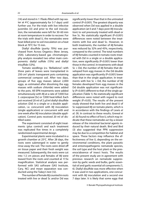$(14)$  and stored in 1 l flasks filled with tap water at  $4^{\circ}$ C (approximately for 5-7 days) until further use. For the trials with live infective juveniles (IJ) and prior to the soil inoculation, the nematodes were left for 30-60 min at room temperature in order to recover. For the trials with dead IJ, the nematodes were heat-killed prior to soil inoculation on a heat block at 70°C for 15 min.

Diallyl disulfide (purity 70%) was purchased from Across Organics (New Jersey, USA). Laboratory-based gas chromatography analysis revealed two other main components: diallyl sulfide (15%) and diallyl trisulfide (12%).

Tomato seedlings (cv. 'Belladona') with three pairs of leaves were transplanted in 250 cm<sup>3</sup> plastic transparent pots containing commercial compost soil. After two days, groups of five egg masses (about 2,000 eggs, as estimated after dissolving the egg masses with sodium chloride) were added to the pots. All EPN treatments were added simultaneously with Mj at a rate of 7,000 live S. carpocapsae (Sc) or 7,000 heat-killed. Each pot received 20 ml of 2 μl/ml diallyl disulfide solution (Dd) in a single or a double application, i.e. concurrent with Mj inoculation (single application) or concurrent with and one week after Mj inoculation (double application). Control pots received 20 ml of distilled water.

The experiment consisted of eight treatments (plus control) and each treatment was replicated five times in a completely randomized experimental design.

Experimental plants were incubated in a growth chamber at  $25^{\circ}$ C. After 28 days, the roots were submerged in water to gently rinse away the soil. The roots were dried off on tissue paper and their fresh weight was measured. Subsequently, the roots were cut into 1-2 cm pieces and females of Mj were teased from the roots and counted at 17.5x magnification. Statistical analysis was performed with SAS software (SAS Institute, Cary, NC) and mean separation was conducted using the Tukey's test (12).

The number of female Micounted in roots treated with live or dead Sc and/or Dd was significantly lower than that in the untreated control (P<0.001). The greatest disparity was observed when Dd was applied in a double application (at 0 and 7 days post-Mj inoculation) to soil previously treated with dead or live Sc. No statistically significant  $(P<0.001)$ differences were noted between the treatments with live and dead Sc. However, in both treatments, the number of Mj females was reduced by 32% and 45%, respectively, compared to the control. The total numbers of Mj females counted in tomato roots treated with Dd in a single or a double application, were significantly (P<0.001) lower than those in the control. In treatments with dead Sc + Dd, the number of  $Mi$  females that developed from egg masses in the Dd double application was significantly ( $P<0.001$ ) lower than that in the single application. In treatments with live Sc + Dd, the number of  $Mj$ females developed from egg masses in the Dd double application was not significantly (P<0.001) different to that of the single application (Table 1). No statistically significant differences were noted with regard to root weight (P>0.05). The results of the present study showed that both live and dead IJ of Sc suppressed Mj on tomato plants, which is in accordance with the findings of Lewis et al. (9). In contrast to these results, Grewal et al. (6) found no effect of live IJ, which may indicate that these nematodes act by a slower release of the intestinal bacterial agents induced by their natural death. Bird and Bird (3) also suggested that PPN suppression may be due to a competition for habitat and space. These factors may influence the effectiveness of live IJ, depending on the environmental conditions, the plant parasitic and entomopathogenic nematode species, the soil type and the host plant or the presence/absence of insect hosts. The results of the present study are in agreement with previous research on nematode suppression by garlic seeds and bulbs, garlic essential oil and garlic essential oil components (1, 6). Diallyl disulfide was more effective when it was used in two applications, one concurrent with Mi inoculation and a second one 7 days later. It is likely that some eggs that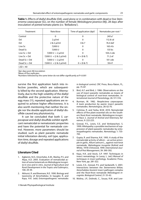| Treatment      | Rate/dose                                   | Time of application (dpi) <sup>1</sup> | Nematodes per root <sup>2</sup> |
|----------------|---------------------------------------------|----------------------------------------|---------------------------------|
| Control        | 0                                           | 0                                      | $243a^3$                        |
| Dd             | $2 \mu$ /ml                                 | 0                                      | 112.8 cd                        |
| Dd             | $2 & 2$ µl/ml                               | 0 & 7                                  | 76.4 def                        |
| Live Sc        | 7,000 IJ                                    | 0                                      | 165.4 b                         |
| Dead Sc        | 7,000 IJ                                    | 0                                      | $133$ bc                        |
| Live $Sc + Dd$ | 7,000 IJ + 2 µl/ml                          | 0                                      | 104.2 cde                       |
| Live $Sc + Dd$ | $7,000$ IJ + (2 & 2 µl/ml)                  | $0 + (0 & 7)$                          | 71.2 ef                         |
| Dead $Sc + Dd$ | 7,000 IJ + 2 µl/ml                          | 0                                      | $101$ cde                       |
| Dead $Sc + Dd$ | $7,000 \text{ lJ} + (2 \& 2 \text{ µl/ml})$ | $0 + (0 & 7)$                          | 59.4f                           |
| $1SD = 40$     |                                             |                                        |                                 |

**Table 1.** Effects of diallyl disulfide (Dd), used alone or in combination with dead or live Steinernema carpocapsae (Sc), on the number of female Meloidogyne javanica (Mj), 28 days after inoculation of potted tomato plants (cv. 'Belladona').

<sup>1</sup>dpi: days post-*Mj* inoculation<br><sup>2</sup>Mean of five renlicates

<sup>2</sup>Mean of five replicates

 $^3$ Numbers followed by the same letter do not differ significantly at P<0.001  $\,$ 

survive the first application hatch into infective juveniles, which are subsequently killed by the second application. Alternatively, due to the high volatility of the diallyl disulfide and the protective nature of the egg mass (11), repeated applications are required to achieve higher effectiveness. It is also worth mentioning that neither the single nor the double application of diallyl disulfide caused any phytotoxicity.

It can be concluded that both S. carpocapsae and diallyl disulfide exhibit significant nematicidal or nematostatic properties and have the potential for nematode control. However, more parameters should be studied, such as plant parasitic nematode initial infestation density, soil type, application time, dosage and repeated applications of diallyl disulfide.

## **Literature Cited**

- 1. Agbenin, N.O., Emechebe, A.M., Marley, P.S. and Akpa, A.D. 2005. Evaluation of nematicidal action of some botanicals on Meloidogyne incognita in vivo and in vitro. Journal of Agriculture and Rural Development in the Tropics and Subtropics, 106: 29-39.
- 2. Akhurst, R. and Boemare, N.E. 1990. Biology and taxonomy of Xenorhabdus. In Gaugler, R. and Kaya, H.K. (eds) Entomopathogenic nematodes

in biological control, CRC Press, Boca Raton, FL, pp. 75-87.

- 3. Bird, A.F. and Bird, J. 1986. Observations on the use of insect parasitic nematodes as means of biological control of root-knot nematodes. International Journal of Parasitology, 26: 511-516.
- 4. Burman, M. 1982. Neoplectena carpocapsae: A toxin production by axenic insect parasitic nematodes. Nematologica, 28: 62-70.
- 5. Cetintas, R. and Yarba, M.M. 2010. Nematicidal effects of five plant essential oils on the Southern Root-Knot nematode, Meloidogyne incognita Race 2. Journal of Animal and Veterinary Advances, 9: 222-225.
- 6. Grewal, P.S., Lewis, E.E. and Venkatachari, S. 1999. Allelopathy: a possible mechanism of suppression of plant-parasitic nematodes by entomopathogenic nematodes. Nematology, 1: 735- 743.
- 7. Gupta, R. and Sharma, N.K. 1993. A study of the nematicidal activity of allicin – an active principle in garlic, Allium sativum L., against root-knot nematode, Meloidogyne incognita (Kofoid and White, 1919) Chitwood, 1949. International Journal of Pest Management, 39: 390-392.
- 8. Kaya, H.K. and Stock, S.P. 1997. Techniques in insect nematology. In Lacey, L. (ed.) Manual of techniques in insect pathology. Academic Press, New York, pp. 281-322.
- 9. Lewis, E.E., Grewal, P.S. and Sardanelli, S. 2001. Interactions between the Steinernema feltiae, Xenorhabdus bovienii insect pathogen complex and the Root-Knot nematode Meloidogyne incognita. Biological Control, 21: 55-62.
- 10. Molina, J.P., Dolinski, C., Souza, R.M. and Lew-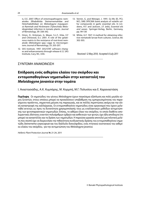is, E.E. 2007. Effect of entomopathogenic nematodes (Rhabditida: Steinernematidae and Heterhabditidae) on Meloidogyne mayaguensis Rammah and Hirshmann (Tylenchida: Meloidoginidae) infection in tomato plants. Journal of Nematology, 39: 338-342.

- 11. Orion, D., Kritzman, G, Meyer, S.L.F., Erbe, E.F and Chitwood, D.J. 2001. A role of the gelatinous matrix in the resistance of root-knot nematode (Meloidogne spp.) eggs to microorganisms Journal of Nematology, 33: 203-207.
- 12. SAS Institute. 1997. SAS/STAT software changes and enhancements through release 6.12. SAS Institute, Cary, NC, USA.
- 13. Vernin, G. and Metzger, J. 1991. Gc-Ms (EI, PCI, NCI, SIM) SPECMA bank analysis of volatile sulfur compounds in garlic essential oils. In Linskens, H.F. and Jackson, J.F. (eds), Essential oils and waxes. Springer-Verlag, Berlin, Germany, pp. 99-130
- 14. White, G.F. 1927. A method for obtaining infective nematode larvae from cultures. Science, 66: 302-303.

Received: 12 May 2010; Accepted: 8 July 2011

# ΣΥΝΤΟΜΗ ΑΝΑΚΟΙΝΩΣΗ

# **Επίδραση ενός αιθερίου ελαίου του σκόρδου και εντομοπαθογόνων νηματωδών στην καταστολή του**  *Meloidogyne javanica* **στην τομάτα**

I. Αναστασιάδης, A.K. Κυμπάρης, M. Κορμπή, M.Γ. Πολυσίου και E. Καραναστάση

**Περίληψη** Οι νηματώδεις του γένους Meloidogyne έχουν παγκόσμια εξάπλωση και πολύ μεγάλο εύρος ξενιστών, στους οποίους μπορεί να προκαλέσουν υποβάθμιση της εμπορευσιμότητας του παραγόμενου προϊόντος, σημαντική μείωση της παραγωγής, και σε πολλές περιπτώσεις ακόμη και την ολική καταστροφή της καλλιέργειας. Οι εντομοπαθογόνοι νηματώδεις είναι οργανισμοί που έχουν μελετηθεί εκτενώς ως προς τη δυνατότητα χρησιμοποίησής τους ως εναλλακτικών μεθόδων αντιμετώπισης των φυτοπαρασιτικών νηματωδών. Επίσης, το αιθέριο έλαιο του σκόρδου, το οποίο διαθέτει απολυμαντικές ιδιότητες εναντίον πολυάριθμων εχθρών και ασθενειών των φυτών, έχει ήδη αποδειχτεί ότι μπορεί να καταστέλλει και τη δράση των νηματωδών. Η παρούσα εργασία αποτελεί μια πιλοτική μελέτη που σκοπό έχει να διερευνήσει την πιθανότητα συνδυαστικής δράσης του εντομοπαθογόνου νηματώδη Steinernema carpocapsae και του διάλλυλο δισουλφιδίου, ενός πτητικού συστατικού του αιθερίου ελαίου του σκόρδου, για την αντιμετώπιση του Meloidogyne javanica.

Hellenic Plant Protection Journal **4:** 21-24, 2011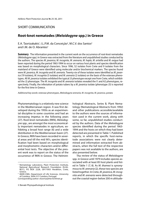# SHORT COMMUNICATION

# **Root-knot nematodes (***Meloidogyne* **spp.) in Greece**

E.A. Tzortzakakis<sup>1</sup>, I.L.P.M. da Conceição<sup>2</sup>, M.C.V. dos Santos<sup>2</sup> and  $LM$  de  $O$ . Abrantes<sup>2</sup>

**Summary** The information presented in the current work on the occurrence of root-knot nematodes (Meloidogyne spp.) in Greece was extracted from the literature and unpublished studies conducted by the authors. The species M. javanica, M. incognita, M. arenaria, M. hapla, M. artiellia and M. exigua had been reported during the period 1963-1994 to occur on various host plants and species identification was based on morphological characters. Since 1996, 52 isolates from Crete and 9 isolates from the mainland of Greece were identified using molecular and/or biochemical markers. The species found were M. javanica, M. incognita and M. arenaria. Twenty-six of these isolates were identified as M. javanica (19 isolates), M. incognita (5 isolates) and M. arenaria (2 isolates) on the basis of the esterase phenotypes. All M. javanica isolates exhibited the typical J3 phenotype except one from Crete, which exhibited the J2 phenotype. The M. incognita and M. arenaria isolates revealed the I1 and A2 phenotypes, respectively. Finally, the infestation of potato tubers by a M. javanica isolate (phenotype J3) is reported for the first time in Greece.

Additional key words: esterase phenotypes, Meloidogyne arenaria, M. incognita, M. javanica, potato

Phytonematology is a relatively new science in the Mediterranean region. It was first developed during the 1950s as an experimental discipline in some countries and had an increasing impetus in the following years (27). Root-knot nematodes (RKN), Meloidogyne spp., are amongst the most economically important nematodes in agriculture, exhibiting a broad host range (6) and a wide distribution in the Mediterranean basin (27). In Greece, RKN have been recorded in several areas and till the mid 90's, species identification had been based on morphological and morphometric characters and/or differential host tests. The objective of the present work was to report on the status of the occurrence of RKN in Greece. The Helmint-

© Benaki Phytopathological Institute

hological Abstracts, Series B, Plant Nematology (Nematological Abstracts from 1992) and other publications accessible/available to the authors were the sources of information used in the current work, along with some, so far, unpublished studies conducted by the authors. Data of the Meloidogyne species identified during the period 1963-1994 and the hosts on which they had been detected are presented in Table 1. Published reports, in which the specific host-nematode associations were not clearly determined and information extracted from abstracts, when the full text of the respective papers was not available to the authors, are also presented below.

The review of the status of Meloidogyne spp. in Greece until 1979 includes species associated with at least 85 host plants and listed in Table 1 (7, 8). As M. thamesi is synonymous to M. arenaria (2), these two species are listed together. In Crete, M. javanica, M. incognita and M. arenaria were detected throughout the coastal region-below 200 m altitude-

<sup>1</sup> Nematology Laboratory, Plant Protection Institute, National Agricultural Research Foundation (N.AG. RE.F.), PO BOX 2228, GR-71003 Heraklion, Crete, Greece.

<sup>&</sup>lt;sup>2</sup> IMAR-CMA, Department of Life Sciences, University of Coimbra, 3004-517 Coimbra, Portugal

Corresponding author: etzortza@her.forthnet.gr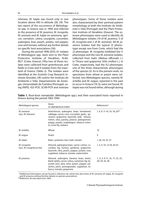whereas, M. hapla was found only in one location above 450 m altitude (28, 29). The last report of the occurrence of Meloidogyne spp. in Greece was in 1994 and referred to the presence of M. javanica, M. incognita, M. arenaria and M. hapla on anemone, apricot, carnation, celery, courgette, cucumber, aubergine, kiwi, peach, potato, red pepper, rose and tomato, without any further details on specific host associations (36).

During the period 1996-2010, 61 isolates of Meloidogyne spp. were sent to the Plant Protection Institute of Heraklion, N.AG. RE.F. (Crete, Greece). Fifty-two of those isolates were collected from greenhouses and fields in Crete and 9 isolates from the mainland of Greece (Table 2). The isolates were identified at the Scottish Crop Research Institute (Dundee, UK) and/or the Instituto do Ambiente e Vida, Departamento de Zoologia, Universidade de Coimbra (Portugal), using RAPD, IGS-PCR, SCAR-PCR and esterase phenotypes. Some of those isolates were also characterised by their perineal pattern morphology at both the Instituto do Ambiente e Vida (Portugal) and the Plant Protection Institute of Heraklion (Greece). The esterase phenotypes were used to identify 26 Meloidogyne isolates (19 of M. javanica, 5 of M. incognita and 2 of M. arenaria). All M. javanica isolates had the typical J3 phenotype except one from Crete, which had the J2 phenotype. M. incognita exhibited the I1 phenotype and the two M. arenaria isolates, collected from balm (Melissa officinalis L.) in Thrace and grapevine (Vitis vinifera L.) in Crete, respectively, had the A2 phenotype, one of the three characteristic phenotypes of the species (5). As in the present work, no specimens from wheat or peach were collected, two Meloidogyne species, namely M. artiellia and M. exigua, reported in the past to occur in Greece (19, 9), were not found. M. hapla was not found either, although during

| Meloidogyne species                        | Hosts<br>(in alphabetical order)                                                                                                                                                                                                                             | References*                                      |
|--------------------------------------------|--------------------------------------------------------------------------------------------------------------------------------------------------------------------------------------------------------------------------------------------------------------|--------------------------------------------------|
| M. arenaria<br>(syn. M. thamesi)           | Antirrhinum, aubergine, bean, brindweed,<br>cabbage, carrot, corn, cucumber, garlic, ge-<br>ranium, grapevine, hyacinth, leek, lettuce,<br>melon, okra, parsley, peanut, pelargonium,<br>poppy, potato, snapdragon, tobacco toma-<br>to, trout lily, zerbera | 1, 4, 9, 11-14, 16, 18, 26**                     |
| M. artiellia                               | Wheat                                                                                                                                                                                                                                                        | 19                                               |
| M. exigua                                  | Peach                                                                                                                                                                                                                                                        | 9                                                |
| M. hapla                                   | Bean, cyclamen, kiwi, leek, tomato                                                                                                                                                                                                                           | 1, 26, 34, 35, 37                                |
| M. incognita<br>(syn. M. incognita acrita) | Almond, aubergine bean, carrot, cotton, cu-<br>cumber, fig, fuchsia, gardenia, grapevine,<br>hyacinth, okra, peach, pepper, potato, rose,<br>sugarbeet, tobacco, tomato, watermelon                                                                          | 1, 3, 4, 10, 12-18, 20-25                        |
| M. javanica                                | Almond, aubergine, banana, bean, beets,<br>black salsify, carrot, celery, cyclamen, fig, hy-<br>acinth, kiwi, okra, olive, peach, pepper, pis-<br>tachio, plum, pomegranate, sugarbeet, to-<br>bacco, tomato, grapevine                                      | 1, 3, 4, 9-11, 16, 17, 23, 25,<br>30, 34, 35, 38 |

**Table 1.** Root-knot nematodes (Meloidogyne spp.) and their associated hosts reported in Greece during the period 1963-1994.

 \*Additional information can be found in reference 36, which lists also hosts of M. arenaria, M. hapla, M. incognita and *M. javanica* without further details on species associations.

\*\*Reference 26 cites data from 1964.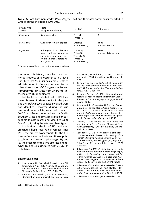| Meloidogyne<br>species | <b>Hosts</b><br>(in alphabetical order)                                                                                             | Locality*                                                                 | References                        |
|------------------------|-------------------------------------------------------------------------------------------------------------------------------------|---------------------------------------------------------------------------|-----------------------------------|
| M. arenaria            | Balm, grapevine                                                                                                                     | Crete (1)<br>Thrace (1)                                                   | 5                                 |
| M. incognita           | Cucumber, tomato, pepper                                                                                                            | Crete (8)<br>Peloponissos (1)                                             | $31 - 33$<br>and unpublished data |
| M. javanica            | Aubergine, balm, banana,<br>bean, cabbage, carnation,<br>cucumber, grapevine, mel-<br>on, ornamentals, potato (tu-<br>bers), tomato | Crete(43)<br>Epirus (4)<br>Thessaly (1)<br>Thrace (1)<br>Peloponissos (1) | $31 - 33$<br>and unpublished data |

**Table 2.** Root-knot nematodes (Meloidogyne spp.) and their associated hosts reported in Greece during the period 1996-2010.

\* Figures in parentheses refer to the number of isolates

the period 1966-1994, there had been numerous reports of its occurrence in Greece. It is likely that M. hapla has a more restricted distribution in Greece compared to the other three major Meloidogyne species and is probably rare in Crete from where most of the isolates (85%) originated.

Potato tubers infested with RKN have been observed in Greece twice in the past, but the Meloidogyne species involved were not identified. However, during the current work, one isolate, collected in March 2010 from infested potato tubers in a field in Southern Crete (Fig. 1) was multiplied on susceptible tomato plants and identified as M. javanica (J3), using the esterase phenotypes.

In addition to the list of RKN and their associated hosts recorded in Greece since 1963, the present work reports for the first time in Greece on (a) the infestation of potato tubers by M. javanica (phenotype J3), and (b) the presence of the two esterase phenotypes (J2 and J3) associated with M. javanica isolates.

## **Literature cited**

- 1. Hirschmann, H., Paschalaki-Kourtzi, N. and Triantaphyllou, A.C. 1966. A survey of plant parasitic nematodes in Greece. Annales de l' Institut Phytopathologique Benaki, N.S., 7: 144-156.
- 2. Hunt, D.J. and Handoo, Z.A. 2009. Taxonomy, identification and principal species. In Perry,

R.N., Moens, M. and Starr, J.L. (eds). Root-Knot Nematodes. CAB International, Wallingford, UK, p. 55-97.

- 3. Kalyviotis-Gazelas, C. 1971. List of nematodes and their host-plants as identified in Greece during 1969. Annales de l' Institut Phytopathologique Benaki, N.S., 10: 138-140.
- 4. Kalyviotis-Gazelas, C. 1981. Nematodes and host plants reported for the first time in Greece. Annales de l' Institut Phytopathologique Benaki, N.S., 13: 30-35.
- 5. Karanastasi, E., Conceição, I.L.P.M. da, Santos, M.C.V. dos, Tzortzakakis, E.A. and Abrantes, I.M. de O. 2008. Occurrence of the root-knot nematode Meloidogyne arenaria on balm and in a mixed population with M. javanica on grapevine in Greece. Helminthologia, 45: 52-53.
- 6. Karssen, G. and Moens, M. 2006. Root-knot nematodes. In Perry, R.N. and Moens, M. (eds). Plant Nematology. CAB International, Wallingford, UK, p. 59-90.
- 7. Koliopanos, C.N. 1978. The problem of the rootknot nematodes in Greece. In Proceedings of the First IMP Research Planning Conference on Rootknot Nematodes, Meloidogyne spp., Region VII, Cairo Egypt, 29 January-2 February, p. 20-24 (Abstract).
- 8. Koliopanos, C.N. 1979. Contribution to the study of the root-knot nematode (Meloidogyne spp.) in Greece. In Proceedings of the Second IMP Research Planning Conference on Root-knot Nematodes, Meloidogyne spp., Region VII, Athens Greece, 26-30 November, p. 35-39 (Abstract).
- 9. Koliopanos, C.N. and Kalyviotis-Gazelas, C. 1969. List of nematodes and their host-plants as identified in Greece during 1965-1968. Annales de l' Institut Phytopathologique Benaki, N.S., 9: 30-32.
- 10. Koliopanos, C.N. and Kalyviotis-Gazelas, C. 1973.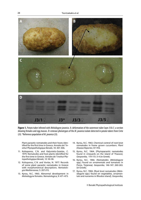

Fiqure 1. Potato tuber infested with *Meloidogyne javanica*. A: deformation of the outermost tuber layer. B & C: a section showing females and egg masses. D: esterase phenotypes of the M. javanica isolate detected in potato tubers from Crete (J3). \*Reference population of M. javanica (J3).

Plant parasitic nematodes and their hosts identified for the first time in Greece. Annales de l'Institut Phytopathologique Benaki, 10: 301-306.

- 11. Koliopanos, C.N. and Kalyviotis-Gazelas, C. 1979. Nematodes and host plants identified for the first time in Greece. Annales de l' Institut Phytopathologique Benaki, 12: 50-58.
- 12. Koliopanos, C.N. and Vovlas, N. 1977. Records of some plant parasitic nematodes in Greece with morphometrical descriptions. Nematologia Mediterranea, 5: 207-215.
- 13. Kyrou, N.C. 1963. Abnormal development in Meloidogyne females. Nematologica, 9: 471-473.
- 14. Kyrou, N.C. 1963. Chemical control of root knot nematodes in frame grown cucumbers. Plant Disease Reporter, 47: 916.
- 15. Kyrou, N.C. 1964. [Phytoparasitic nematodes found in vineyards on the island of Thassos]. Geoponika, 114-115: 3-4 (in Greek).
- 16. Kyrou, N.C. 1966. [Nematodes (Meloidogyne spp.) found on ornamentals and tomatoes in Poros, Trejenea]. Geoponika, 146-147: 260-263. (in Greek).
- 17. Kyrou, N.C. 1966. [Root knot nematodes (Meloidogyne spp.) found on vegetables, ornamentals and nurseries in Rhodos island]. Geoponika,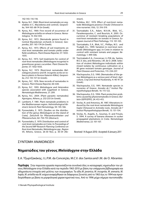142-143: 116-118.

- 18. Kyrou, N.C. 1968. [Root-knot nematodes on vegetables in C. Macedonia and control]. Geoponika, 164-165: 68-74 (in Greek).
- 19. Kyrou, N.C. 1969. First record of occurrence of Meloidogyne artiellia on wheat in Greece. Nematologica, 15: 432-433.
- 20. Kyrou, N.C. 1972. [Nematode genera found in Central Macedonian orchards in Greece]. Geoponika, 207: 165-174 (in Greek).
- 21. Kyrou, N.C. 1973. Effects of soil treatments on root knot nematodes and tomato yields under field conditions. Plant Disease Reporter, 57: 1033-1035.
- 22. Kyrou, N.C. 1973. Soil treatments for control of root-knot nematodes (Meloidogyne incognita) in greenhouse grown cucumber. Plant Disease Reporter, 57: 1032-1033.
- 23. Kyrou, N.C. 1973. [Root-knot nematodes Meloidogyne javanica and M. incognita acrita on tobacco plants in Nomos Katerini-Kilkis]. Geoponika, 212: 155-157 (in Greek).
- 24. Kyrou,, N.C. 1976. New records of nematodes in Greece. Plant Disease Reporter, 60: 630.
- 25. Kyrou, N.C. 1993. Meloidogyne and Heterodera species associated with sugarbeet in Greece. Nematologia Mediteranea, 21: 209.
- 26. Kyrou, N.C. 2004. [Plant parasitic nematodes] Agrotypos, Athens, p. 232-233 (in Greek).
- 27. Lamberti, F. 1981. Plant nematode problems in the Mediterranean region. Helminthological Abstracts Series B, Plant Nematology, 50: 145-166.
- 28. Pyrowolakis, E. 1975. [Studies on the distribution of the genus Meloidogyne on the island of Crete]. Zeitschrift fur Pflanzenkrankheiten und Pflanzenschutz, 82: 750-755 (Abstract).
- 29. Pyrowolakis, E. 1979. Distribution and control of root-knot nematodes on Crete. In Proceedings of the Second IMP Research Planning Conference on Root-knot Nematodes, Meloidogyne spp., Region VII, Athens, Greece, 26-30 Nov, p. 30-34 (Ab-

stract).

- 30. Terlidou, M.C. 1974. Effect of root-knot nematode Meloidogyne javanica (Treub) Chitwood in vine nurseries. Vitis, 12: 316-319.
- 31. Tzortzakakis E.A., Adam, M.A.M., Blok, V.C., Paraskevopoulos, C. and Bourtzis, K. 2005. Occurrence of resistant breaking populations of root-knot nematodes on tomato in Greece. European Journal of Plant Pathology, 113: 101-105.
- 32. Tzortzakakis, E.A., Blok, V.C., Phillips, M.S. and Trudgill, D.L. 1999. Variation in root-knot nematode (Meloidogyne spp.) in Crete in relation to control with resistant tomato and pepper. Nematology, 1: 499-506.
- 33. Tzortzakakis E.A., Conceicao, I.L.P.M. da, Santos, M.C.V. dos, and Abrantes, I.M. de O. 2008. Selection of virulent Meloidogyne individuals within mixed isolates by continuous cultivation on a Mi gene resistant tomato genotype. Journal of Plant Diseases and Protection, 115: 234-237.
- 34. Vlachopoulos, E.G. 1990. [Nematodes of the genus Meloidogyne as a serious pest of kiwi]. Agriculture, Crop and Animal Husbandry, 4: 40-41 (in Greek).
- 35. Vlachopoulos, E.G. 1991. Nematode species in nurseries of Greece. Annales de l' Institut Phytopathologique Benaki, 16: 115-122.
- 36. Vlachopoulos, E.G. 1994. Plant protection problems caused by phytonematodes in Greece. Bulletin OEPP/EPPO, 24: 413-415.
- 37. Vovlas, N. and Antoniou, M. 1987. Alterations induced by the root-knot nematode Meloidogyne hapla Chitwood in Actinidia roots. Annales de l' Institut Phytopathologique Benaki, 15: 151-154.
- 38. Vovlas, N., Avgelis, A., Goumas, D. and Frisulo, S. 1994. A survey of banana diseases in sucker propagated plantations in Crete. Nematologia Mediterranea, 22: 101-107.

Received: 14 August 2010; Accepted: 8 January 2011

## ΣΥΝΤΟΜΗ ΑΝΑΚΟΙΝΩΣΗ

# **Νηματώδεις του γένους** *Meloidogyne* **στην Ελλάδα**

E.A. Tζωρτζακάκης, I.L.P.M. da Conceição, M.C.V. dos Santos and I.M. de O. Abrantes

**Περίληψη** Στην παρούσα εργασία παρουσιάζονται συνολικά όλες οι καταγραφές νηματωδών του γένους Meloidogyne στην Ελλάδα κατά την περίοδο 1963-2010 με βάση την υπάρχουσα βιβλιογραφία και αδημοσίευτα στοιχεία από μελέτες των συγγραφέων. Τα είδη M. javanica, M. incognita, M. arenaria, M. hapla, M. artiellia και M. exigua αναφέρθηκαν σε διάφορους ξενιστές από το 1963 έως το 1994 και προσδιορίσθηκαν με βάση τα μορφολογικά χαρακτηριστικά τους. Από το 1996 μέχρι σήμερα ταυτοποιήθη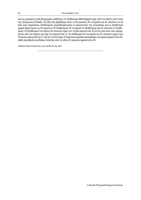καν με μοριακές ή/και βιοχημικές μεθόδους 52 πληθυσμοί Meloidogyne spp. από την Κρήτη και 9 από την ηπειρωτική Ελλάδα. Τα είδη που βρέθηκαν ήταν τα M. javanica, M. incognita και M. arenaria. Σε 26 από τους παραπάνω πληθυσμούς προσδιορίστηκαν οι φαινότυποι της εστεράσης και οι πληθυσμοί χαρακτηρίστηκαν ως M. javanica (19 πληθυσμοί), M. incognita (5 πληθυσμοί) και M. arenaria (2 πληθυσμοί). Οι πληθυσμοί του είδους M. javanica είχαν τον τυπικό φαινότυπο J3 εκτός από έναν που προερχόταν από την Κρήτη και είχε τον φαινότυπο J2. Οι πληθυσμοί M. incognita και M. arenaria είχαν τους τυπικούς φαινοτύπους I1 και A2, αντίστοιχα. Η παρούσα εργασία καταγράφει για πρώτη φορά στην Ελλάδα προσβολή κονδύλων πατάτας από το είδος M. javanica (φαινότυπο J3).

Hellenic Plant Protection Journal **4:** 25-30, 2011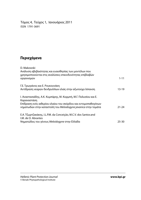Τόμος 4, Τεύχος 1, Ιανουάριος 2011 ISSN 1791-3691

# **Περιεχόμενα**

| D. Makowski                                                                                                                    |           |
|--------------------------------------------------------------------------------------------------------------------------------|-----------|
| Ανάλυση αβεβαιότητας και ευαισθησίας των μοντέλων που                                                                          |           |
| χρησιμοποιούνται στις αναλύσεις επικινδυνότητας επιβλαβών<br>οργανισμών                                                        | $1 - 11$  |
| Γ.Ε. Τρωγιάνος και Ε. Ρουκουνάκη                                                                                               |           |
| Αντίδραση νεαρών δενδρυλλίων ελιάς στην αζωτούχο λίπανση                                                                       | 13-19     |
| Ι. Αναστασιάδης, Α.Κ. Κυμπάρης, Μ. Κορμπή, Μ.Γ. Πολυσίου και Ε.<br>Καραναστάση                                                 |           |
| Επίδραση ενός αιθερίου ελαίου του σκόρδου και εντομοπαθογόνων<br>νηματωδών στην καταστολή του Meloidogyne javanica στην τομάτα | $21 - 24$ |
| E.A. Τζωρτζακάκης, I.L.P.M. da Conceição, M.C.V. dos Santos and<br>I.M. de O. Abrantes                                         |           |
| Νηματώδεις του γένους Meloidogyne στην Ελλάδα                                                                                  | 25-30     |